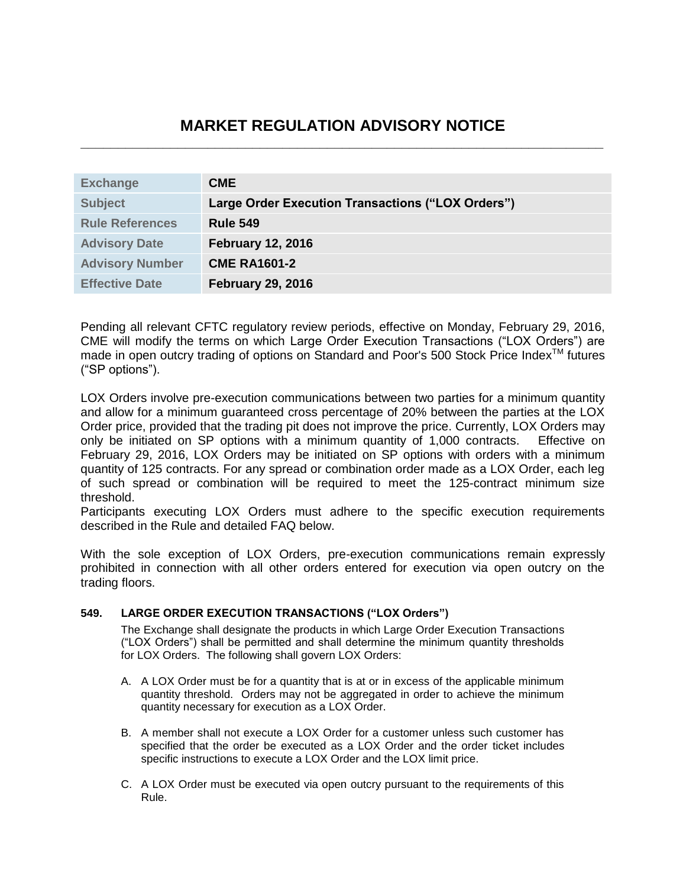# **MARKET REGULATION ADVISORY NOTICE \_\_\_\_\_\_\_\_\_\_\_\_\_\_\_\_\_\_\_\_\_\_\_\_\_\_\_\_\_\_\_\_\_\_\_\_\_\_\_\_\_\_\_\_\_\_\_\_\_\_\_\_\_\_\_\_\_\_\_\_\_\_\_\_\_\_\_\_\_\_**

| <b>Exchange</b>        | <b>CME</b>                                        |
|------------------------|---------------------------------------------------|
| <b>Subject</b>         | Large Order Execution Transactions ("LOX Orders") |
| <b>Rule References</b> | <b>Rule 549</b>                                   |
| <b>Advisory Date</b>   | <b>February 12, 2016</b>                          |
| <b>Advisory Number</b> | <b>CME RA1601-2</b>                               |
| <b>Effective Date</b>  | <b>February 29, 2016</b>                          |

Pending all relevant CFTC regulatory review periods, effective on Monday, February 29, 2016, CME will modify the terms on which Large Order Execution Transactions ("LOX Orders") are made in open outcry trading of options on Standard and Poor's 500 Stock Price Index<sup>™</sup> futures ("SP options").

LOX Orders involve pre-execution communications between two parties for a minimum quantity and allow for a minimum guaranteed cross percentage of 20% between the parties at the LOX Order price, provided that the trading pit does not improve the price. Currently, LOX Orders may only be initiated on SP options with a minimum quantity of 1,000 contracts. Effective on February 29, 2016, LOX Orders may be initiated on SP options with orders with a minimum quantity of 125 contracts. For any spread or combination order made as a LOX Order, each leg of such spread or combination will be required to meet the 125-contract minimum size threshold.

Participants executing LOX Orders must adhere to the specific execution requirements described in the Rule and detailed FAQ below.

With the sole exception of LOX Orders, pre-execution communications remain expressly prohibited in connection with all other orders entered for execution via open outcry on the trading floors.

#### **549. LARGE ORDER EXECUTION TRANSACTIONS ("LOX Orders")**

The Exchange shall designate the products in which Large Order Execution Transactions ("LOX Orders") shall be permitted and shall determine the minimum quantity thresholds for LOX Orders. The following shall govern LOX Orders:

- A. A LOX Order must be for a quantity that is at or in excess of the applicable minimum quantity threshold. Orders may not be aggregated in order to achieve the minimum quantity necessary for execution as a LOX Order.
- B. A member shall not execute a LOX Order for a customer unless such customer has specified that the order be executed as a LOX Order and the order ticket includes specific instructions to execute a LOX Order and the LOX limit price.
- C. A LOX Order must be executed via open outcry pursuant to the requirements of this Rule.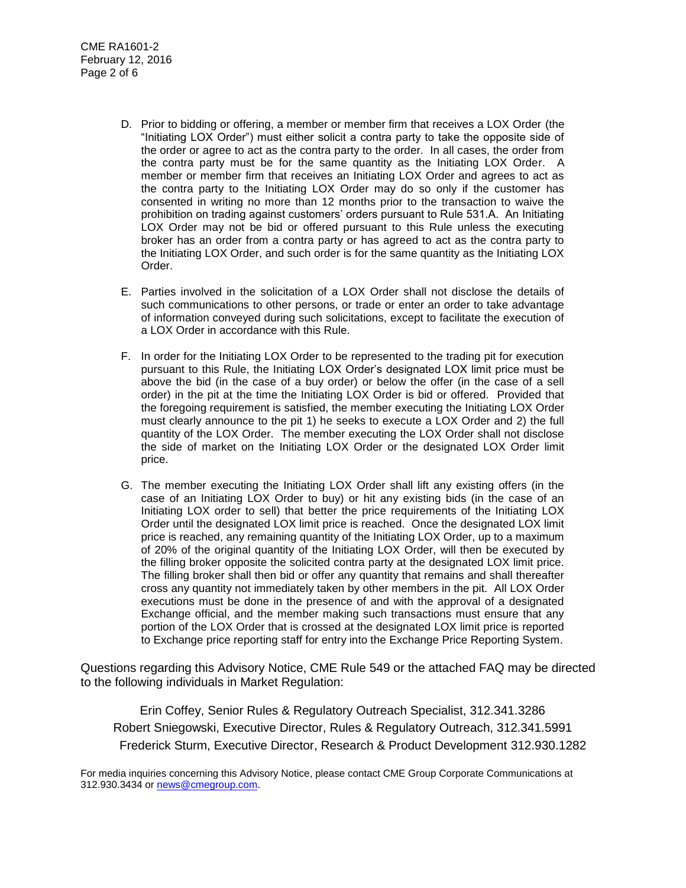- D. Prior to bidding or offering, a member or member firm that receives a LOX Order (the "Initiating LOX Order") must either solicit a contra party to take the opposite side of the order or agree to act as the contra party to the order. In all cases, the order from the contra party must be for the same quantity as the Initiating LOX Order. A member or member firm that receives an Initiating LOX Order and agrees to act as the contra party to the Initiating LOX Order may do so only if the customer has consented in writing no more than 12 months prior to the transaction to waive the prohibition on trading against customers' orders pursuant to Rule 531.A. An Initiating LOX Order may not be bid or offered pursuant to this Rule unless the executing broker has an order from a contra party or has agreed to act as the contra party to the Initiating LOX Order, and such order is for the same quantity as the Initiating LOX Order.
- E. Parties involved in the solicitation of a LOX Order shall not disclose the details of such communications to other persons, or trade or enter an order to take advantage of information conveyed during such solicitations, except to facilitate the execution of a LOX Order in accordance with this Rule.
- F. In order for the Initiating LOX Order to be represented to the trading pit for execution pursuant to this Rule, the Initiating LOX Order's designated LOX limit price must be above the bid (in the case of a buy order) or below the offer (in the case of a sell order) in the pit at the time the Initiating LOX Order is bid or offered. Provided that the foregoing requirement is satisfied, the member executing the Initiating LOX Order must clearly announce to the pit 1) he seeks to execute a LOX Order and 2) the full quantity of the LOX Order. The member executing the LOX Order shall not disclose the side of market on the Initiating LOX Order or the designated LOX Order limit price.
- G. The member executing the Initiating LOX Order shall lift any existing offers (in the case of an Initiating LOX Order to buy) or hit any existing bids (in the case of an Initiating LOX order to sell) that better the price requirements of the Initiating LOX Order until the designated LOX limit price is reached. Once the designated LOX limit price is reached, any remaining quantity of the Initiating LOX Order, up to a maximum of 20% of the original quantity of the Initiating LOX Order, will then be executed by the filling broker opposite the solicited contra party at the designated LOX limit price. The filling broker shall then bid or offer any quantity that remains and shall thereafter cross any quantity not immediately taken by other members in the pit. All LOX Order executions must be done in the presence of and with the approval of a designated Exchange official, and the member making such transactions must ensure that any portion of the LOX Order that is crossed at the designated LOX limit price is reported to Exchange price reporting staff for entry into the Exchange Price Reporting System.

Questions regarding this Advisory Notice, CME Rule 549 or the attached FAQ may be directed to the following individuals in Market Regulation:

Erin Coffey, Senior Rules & Regulatory Outreach Specialist, 312.341.3286 Robert Sniegowski, Executive Director, Rules & Regulatory Outreach, 312.341.5991 Frederick Sturm, Executive Director, Research & Product Development 312.930.1282

For media inquiries concerning this Advisory Notice, please contact CME Group Corporate Communications at 312.930.3434 or [news@cmegroup.com.](mailto:news@cmegroup.com)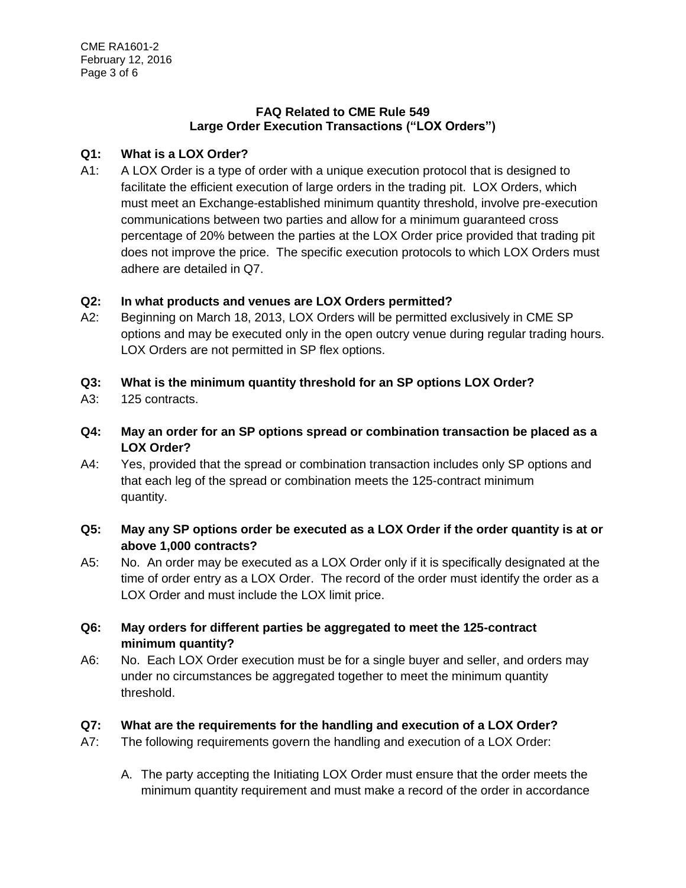#### **FAQ Related to CME Rule 549 Large Order Execution Transactions ("LOX Orders")**

## **Q1: What is a LOX Order?**

A1: A LOX Order is a type of order with a unique execution protocol that is designed to facilitate the efficient execution of large orders in the trading pit. LOX Orders, which must meet an Exchange-established minimum quantity threshold, involve pre-execution communications between two parties and allow for a minimum guaranteed cross percentage of 20% between the parties at the LOX Order price provided that trading pit does not improve the price. The specific execution protocols to which LOX Orders must adhere are detailed in Q7.

## **Q2: In what products and venues are LOX Orders permitted?**

- A2: Beginning on March 18, 2013, LOX Orders will be permitted exclusively in CME SP options and may be executed only in the open outcry venue during regular trading hours. LOX Orders are not permitted in SP flex options.
- **Q3: What is the minimum quantity threshold for an SP options LOX Order?**
- A3: 125 contracts.
- **Q4: May an order for an SP options spread or combination transaction be placed as a LOX Order?**
- A4: Yes, provided that the spread or combination transaction includes only SP options and that each leg of the spread or combination meets the 125-contract minimum quantity.

## **Q5: May any SP options order be executed as a LOX Order if the order quantity is at or above 1,000 contracts?**

- A5: No. An order may be executed as a LOX Order only if it is specifically designated at the time of order entry as a LOX Order. The record of the order must identify the order as a LOX Order and must include the LOX limit price.
- **Q6: May orders for different parties be aggregated to meet the 125-contract minimum quantity?**
- A6: No. Each LOX Order execution must be for a single buyer and seller, and orders may under no circumstances be aggregated together to meet the minimum quantity threshold.

## **Q7: What are the requirements for the handling and execution of a LOX Order?**

- A7: The following requirements govern the handling and execution of a LOX Order:
	- A. The party accepting the Initiating LOX Order must ensure that the order meets the minimum quantity requirement and must make a record of the order in accordance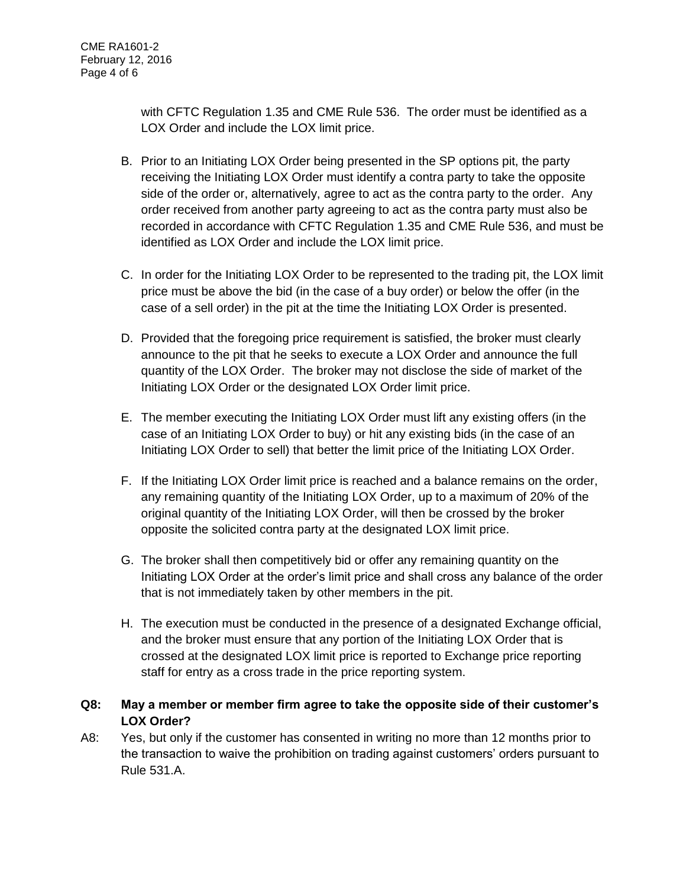with CFTC Regulation 1.35 and CME Rule 536. The order must be identified as a LOX Order and include the LOX limit price.

- B. Prior to an Initiating LOX Order being presented in the SP options pit, the party receiving the Initiating LOX Order must identify a contra party to take the opposite side of the order or, alternatively, agree to act as the contra party to the order. Any order received from another party agreeing to act as the contra party must also be recorded in accordance with CFTC Regulation 1.35 and CME Rule 536, and must be identified as LOX Order and include the LOX limit price.
- C. In order for the Initiating LOX Order to be represented to the trading pit, the LOX limit price must be above the bid (in the case of a buy order) or below the offer (in the case of a sell order) in the pit at the time the Initiating LOX Order is presented.
- D. Provided that the foregoing price requirement is satisfied, the broker must clearly announce to the pit that he seeks to execute a LOX Order and announce the full quantity of the LOX Order. The broker may not disclose the side of market of the Initiating LOX Order or the designated LOX Order limit price.
- E. The member executing the Initiating LOX Order must lift any existing offers (in the case of an Initiating LOX Order to buy) or hit any existing bids (in the case of an Initiating LOX Order to sell) that better the limit price of the Initiating LOX Order.
- F. If the Initiating LOX Order limit price is reached and a balance remains on the order, any remaining quantity of the Initiating LOX Order, up to a maximum of 20% of the original quantity of the Initiating LOX Order, will then be crossed by the broker opposite the solicited contra party at the designated LOX limit price.
- G. The broker shall then competitively bid or offer any remaining quantity on the Initiating LOX Order at the order's limit price and shall cross any balance of the order that is not immediately taken by other members in the pit.
- H. The execution must be conducted in the presence of a designated Exchange official, and the broker must ensure that any portion of the Initiating LOX Order that is crossed at the designated LOX limit price is reported to Exchange price reporting staff for entry as a cross trade in the price reporting system.
- **Q8: May a member or member firm agree to take the opposite side of their customer's LOX Order?**
- A8: Yes, but only if the customer has consented in writing no more than 12 months prior to the transaction to waive the prohibition on trading against customers' orders pursuant to Rule 531.A.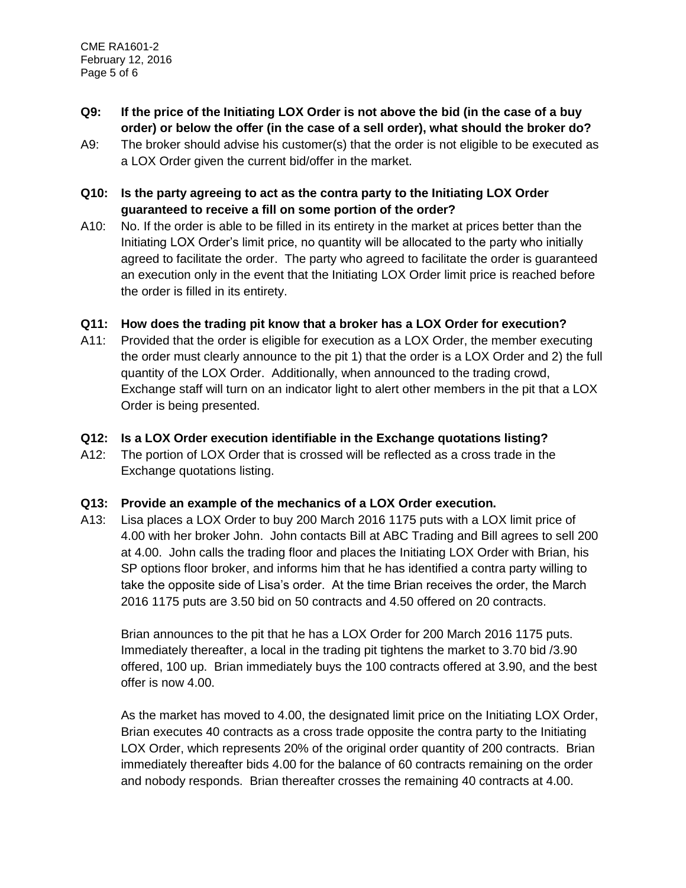- **Q9: If the price of the Initiating LOX Order is not above the bid (in the case of a buy order) or below the offer (in the case of a sell order), what should the broker do?**
- A9: The broker should advise his customer(s) that the order is not eligible to be executed as a LOX Order given the current bid/offer in the market.

## **Q10: Is the party agreeing to act as the contra party to the Initiating LOX Order guaranteed to receive a fill on some portion of the order?**

A10: No. If the order is able to be filled in its entirety in the market at prices better than the Initiating LOX Order's limit price, no quantity will be allocated to the party who initially agreed to facilitate the order. The party who agreed to facilitate the order is guaranteed an execution only in the event that the Initiating LOX Order limit price is reached before the order is filled in its entirety.

## **Q11: How does the trading pit know that a broker has a LOX Order for execution?**

A11: Provided that the order is eligible for execution as a LOX Order, the member executing the order must clearly announce to the pit 1) that the order is a LOX Order and 2) the full quantity of the LOX Order. Additionally, when announced to the trading crowd, Exchange staff will turn on an indicator light to alert other members in the pit that a LOX Order is being presented.

## **Q12: Is a LOX Order execution identifiable in the Exchange quotations listing?**

A12: The portion of LOX Order that is crossed will be reflected as a cross trade in the Exchange quotations listing.

## **Q13: Provide an example of the mechanics of a LOX Order execution.**

A13: Lisa places a LOX Order to buy 200 March 2016 1175 puts with a LOX limit price of 4.00 with her broker John. John contacts Bill at ABC Trading and Bill agrees to sell 200 at 4.00. John calls the trading floor and places the Initiating LOX Order with Brian, his SP options floor broker, and informs him that he has identified a contra party willing to take the opposite side of Lisa's order. At the time Brian receives the order, the March 2016 1175 puts are 3.50 bid on 50 contracts and 4.50 offered on 20 contracts.

Brian announces to the pit that he has a LOX Order for 200 March 2016 1175 puts. Immediately thereafter, a local in the trading pit tightens the market to 3.70 bid /3.90 offered, 100 up. Brian immediately buys the 100 contracts offered at 3.90, and the best offer is now 4.00.

As the market has moved to 4.00, the designated limit price on the Initiating LOX Order, Brian executes 40 contracts as a cross trade opposite the contra party to the Initiating LOX Order, which represents 20% of the original order quantity of 200 contracts. Brian immediately thereafter bids 4.00 for the balance of 60 contracts remaining on the order and nobody responds. Brian thereafter crosses the remaining 40 contracts at 4.00.